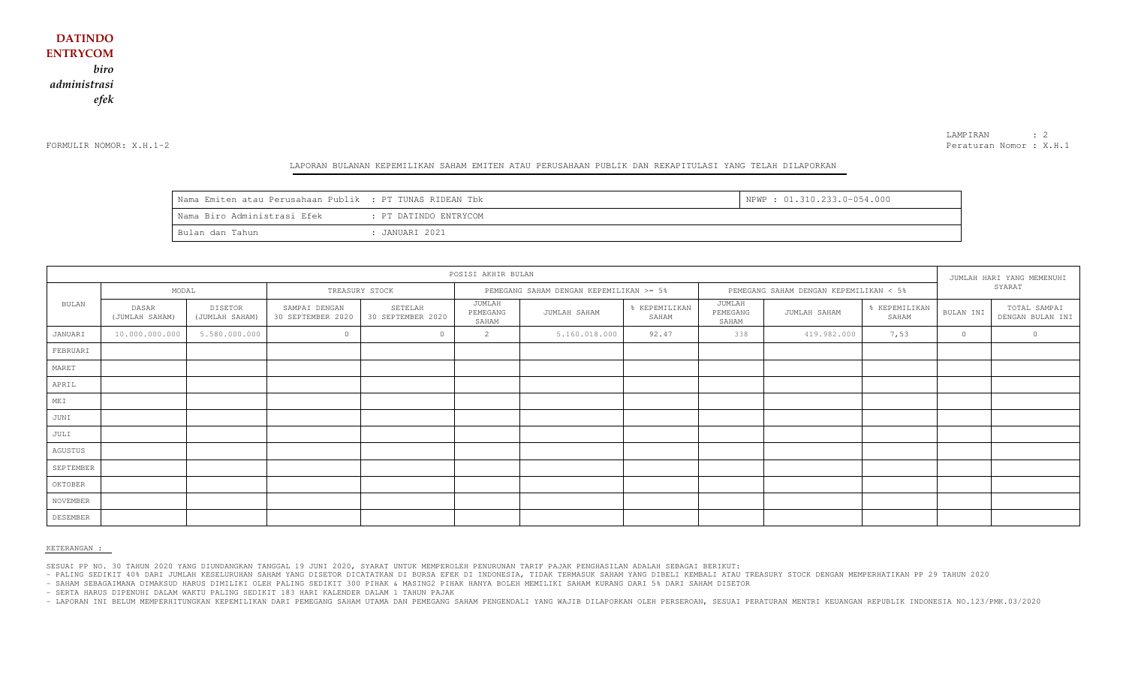FORMULIR NOMOR: X.H.1-2

LAMPIRAN : 2 Peraturan Nomor : X.H.1

#### LAPORAN BULANAN KEPEMILIKAN SAHAM EMITEN ATAU PERUSAHAAN PUBLIK DAN REKAPITULASI YANG TELAH DILAPORKAN

| Nama Emiten atau Perusahaan Publik : PT TUNAS RIDEAN Tbk |                       | NPWP: 01.310.233.0-054.000 |
|----------------------------------------------------------|-----------------------|----------------------------|
| Nama Biro Administrasi Efek                              | : PT DATINDO ENTRYCOM |                            |
| Bulan dan Tahun                                          | : JANUARI 2021        |                            |

| POSISI AKHIR BULAN |                         |                           |                                    |                              |                                         |               |                                        |                             | JUMLAH HARI YANG MEMENUHI |                        |           |                                  |
|--------------------|-------------------------|---------------------------|------------------------------------|------------------------------|-----------------------------------------|---------------|----------------------------------------|-----------------------------|---------------------------|------------------------|-----------|----------------------------------|
|                    | MODAL                   |                           |                                    | TREASURY STOCK               | PEMEGANG SAHAM DENGAN KEPEMILIKAN >= 5% |               | PEMEGANG SAHAM DENGAN KEPEMILIKAN < 5% |                             |                           | SYARAT                 |           |                                  |
| BULAN              | DASAR<br>(JUMLAH SAHAM) | DISETOR<br>(JUMLAH SAHAM) | SAMPAI DENGAN<br>30 SEPTEMBER 2020 | SETELAH<br>30 SEPTEMBER 2020 | JUMLAH<br>PEMEGANG<br>SAHAM             | JUMLAH SAHAM  | % KEPEMILIKAN<br>SAHAM                 | JUMLAH<br>PEMEGANG<br>SAHAM | JUMLAH SAHAM              | % KEPEMILIKAN<br>SAHAM | BULAN INI | TOTAL SAMPAI<br>DENGAN BULAN INI |
| JANUARI            | 10.000.000.000          | 5.580.000.000             | $\circ$                            |                              | 2                                       | 5.160.018.000 | 92.47                                  | 338                         | 419.982.000               | 7,53                   | $\circ$   | 0                                |
| FEBRUARI           |                         |                           |                                    |                              |                                         |               |                                        |                             |                           |                        |           |                                  |
| MARET              |                         |                           |                                    |                              |                                         |               |                                        |                             |                           |                        |           |                                  |
| APRIL              |                         |                           |                                    |                              |                                         |               |                                        |                             |                           |                        |           |                                  |
| MEI                |                         |                           |                                    |                              |                                         |               |                                        |                             |                           |                        |           |                                  |
| JUNI               |                         |                           |                                    |                              |                                         |               |                                        |                             |                           |                        |           |                                  |
| JULI               |                         |                           |                                    |                              |                                         |               |                                        |                             |                           |                        |           |                                  |
| AGUSTUS            |                         |                           |                                    |                              |                                         |               |                                        |                             |                           |                        |           |                                  |
| SEPTEMBER          |                         |                           |                                    |                              |                                         |               |                                        |                             |                           |                        |           |                                  |
| OKTOBER            |                         |                           |                                    |                              |                                         |               |                                        |                             |                           |                        |           |                                  |
| NOVEMBER           |                         |                           |                                    |                              |                                         |               |                                        |                             |                           |                        |           |                                  |
| DESEMBER           |                         |                           |                                    |                              |                                         |               |                                        |                             |                           |                        |           |                                  |

KETERANGAN :

SESUAI PP NO. 30 TAHUN 2020 YANG DIUNDANGKAN TANGGAL 19 JUNI 2020, SYARAT UNTUK MEMPEROLEH PENURUNAN TARIF PAJAK PENGHASILAN ADALAH SEBAGAI BERIKUT:

- PALING SEDIKIT 40% DARI JUMLAH KESELURUHAN SAHAM YANG DISETOR DICATATKAN DI BURSA EFEK DI INDONESIA, TIDAK TERMASUK SAHAM YANG DIBELI KEMBALI ATAU TREASURY STOCK DENGAN MEMPERHATIKAN PP 29 TAHUN 2020

- SAHAM SEBAGAIMANA DIMAKSUD HARUS DIMILIKI OLEH PALING SEDIKIT 300 PIHAK & MASING2 PIHAK HANYA BOLEH MEMILIKI SAHAM KURANG DARI 5% DARI SAHAM DISETOR

- SERTA HARUS DIPENUHI DALAM WAKTU PALING SEDIKIT 183 HARI KALENDER DALAM 1 TAHUN PAJAK

- LAPORAN INI BELUM MEMPERHITUNGKAN KEPEMILIKAN DARI PEMEGANG SAHAM UTAMA DAN PEMEGANG SAHAM PENGENDALI YANG WAJIB DILAPORKAN OLEH PERSEROAN, SESUAI PERATURAN MENTRI KEUANGAN REPUBLIK INDONESIA NO.123/PMK.03/2020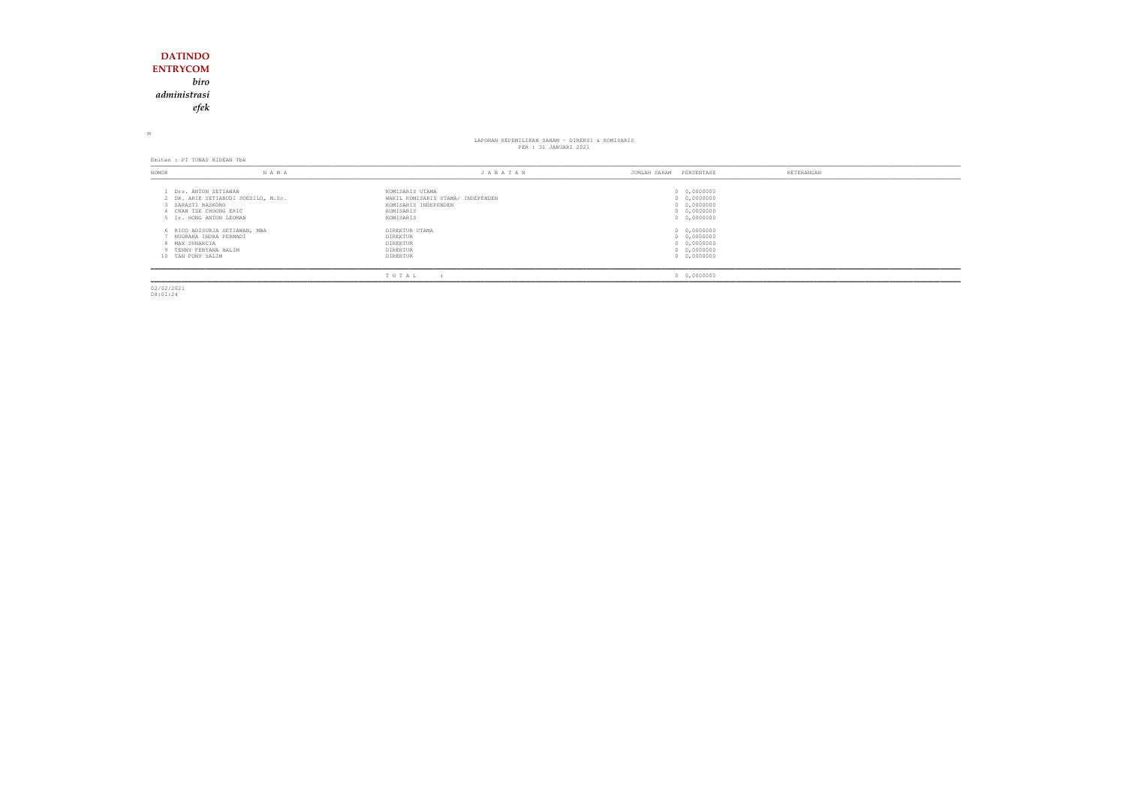### **DATINDO ENTRYCOM** *biro administrasiefek*

M

### LAPORAN KEPEMILIKAN SAHAM - DIREKSI & KOMISARIS PER : 31 JANUARI 2021

Emiten : PT TUNAS RIDEAN Tbk

| NOMOR                                                        | N A M A                                                                                                       | JABATAN                                                                                                | PERSENTASE<br>JUMLAH SAHAM                                              | KETERANGAN |
|--------------------------------------------------------------|---------------------------------------------------------------------------------------------------------------|--------------------------------------------------------------------------------------------------------|-------------------------------------------------------------------------|------------|
| SARASTI BASKORO                                              | Drs. ANTON SETIAWAN<br>2 DR. ARIE SETIABUDI SOESILO, M.Sc.<br>CHAN TZE CHOONG ERIC<br>5 Ir. HONG ANTON LEOMAN | KOMISARIS UTAMA<br>WAKIL KOMISARIS UTAMA/ INDEPENDEN<br>KOMISARIS INDEPENDEN<br>KOMISARIS<br>KOMISARIS | 0 0,0000000<br>0 0,0000000<br>0 0,0000000<br>0 0,0000000<br>0 0,0000000 |            |
| 8 MAX SUNARCIA<br>9 TENNY FEBYANA HALIM<br>10 TAN FONY SALIM | 6 RICO ADISURJA SETIAWAN, MBA<br>NUGRAHA INDRA PERMADI                                                        | DIREKTUR UTAMA<br>DIREKTUR<br>DIREKTUR<br>DIREKTUR<br>DIREKTUR                                         | 0 0,0000000<br>0 0,0000000<br>0 0,0000000<br>0 0,0000000<br>0 0,0000000 |            |
|                                                              |                                                                                                               | TOTAL                                                                                                  | 0 0,0000000                                                             |            |

02/02/2021 08:01:24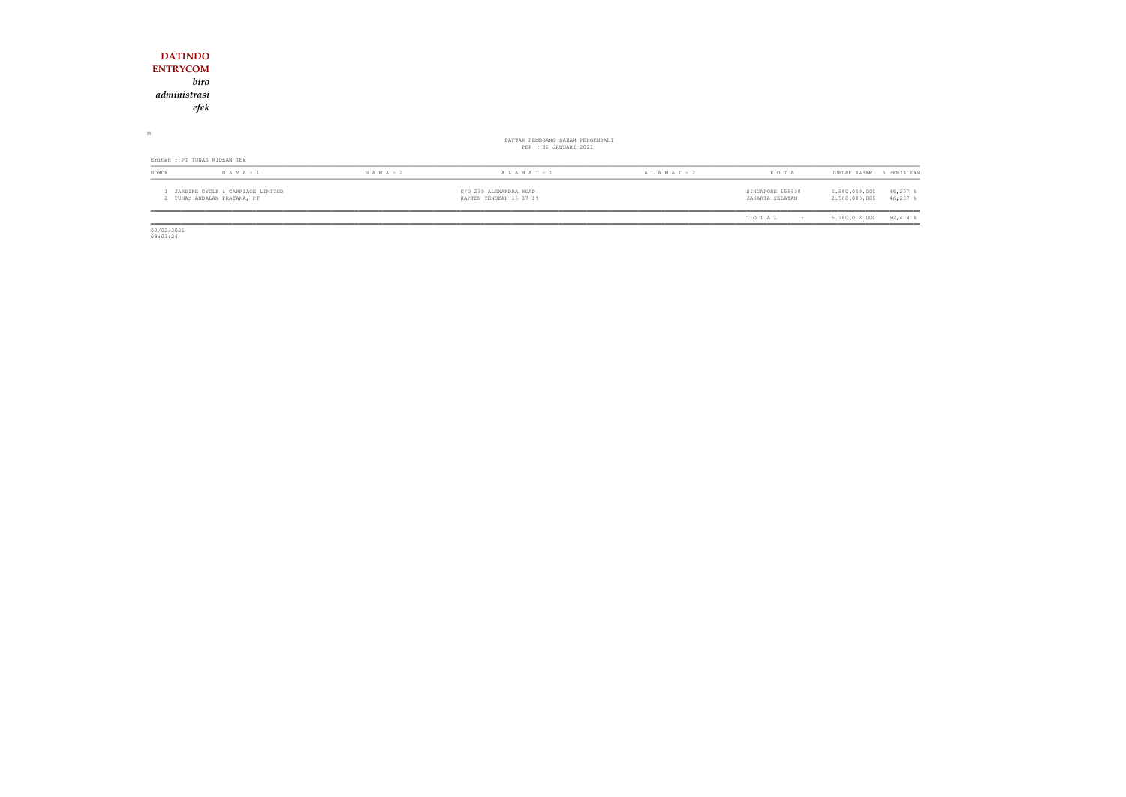| <b>DATINDO</b>                                                  |               |                                                           |                 |                                     |                                                           |
|-----------------------------------------------------------------|---------------|-----------------------------------------------------------|-----------------|-------------------------------------|-----------------------------------------------------------|
| <b>ENTRYCOM</b>                                                 |               |                                                           |                 |                                     |                                                           |
| biro                                                            |               |                                                           |                 |                                     |                                                           |
| administrasi                                                    |               |                                                           |                 |                                     |                                                           |
| efek                                                            |               |                                                           |                 |                                     |                                                           |
|                                                                 |               |                                                           |                 |                                     |                                                           |
| М                                                               |               | DAFTAR PEMEGANG SAHAM PENGENDALI<br>PER : 31 JANUARI 2021 |                 |                                     |                                                           |
| Emiten : PT TUNAS RIDEAN Tbk                                    |               |                                                           |                 |                                     |                                                           |
| $N A M A - 1$<br>NOMOR                                          | $N$ A M A - 2 | A L A M A T - 1                                           | A L A M A T - 2 | KOTA                                | JUMLAH SAHAM<br>% PEMILIKAN                               |
| JARDINE CYCLE & CARRIAGE LIMITED<br>2 TUNAS ANDALAN PRATAMA, PT |               | C/O 239 ALEXANDRA ROAD<br>KAPTEN TENDEAN 15-17-19         |                 | SINGAPORE 159930<br>JAKARTA SELATAN | 2.580.009.000<br>46,237 %<br>$46,237$ \$<br>2.580.009.000 |
|                                                                 |               |                                                           |                 | TOTAL<br>$\sim$ 1.1                 | $92,474$ %<br>5.160.018.000                               |

 $\begin{array}{c} 02/02/2021 \\ 08:01:24 \end{array}$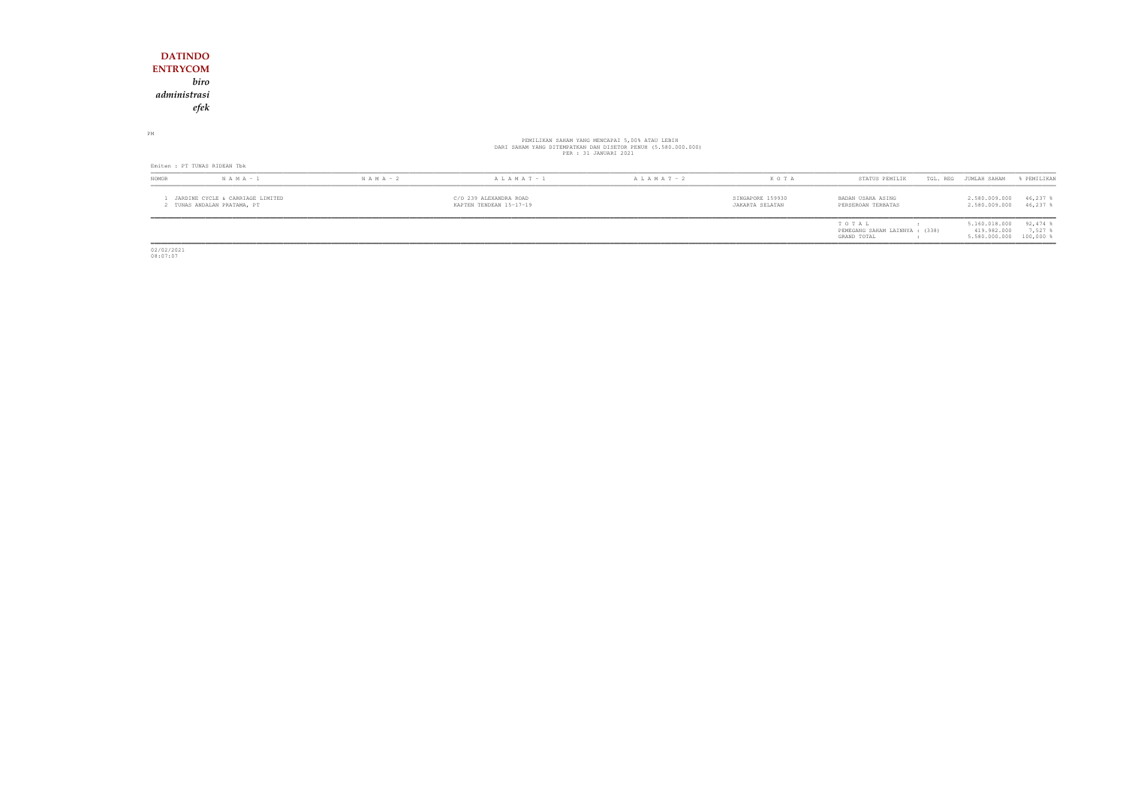#### **DATINDO ENTRYCOM** *biro administrasiefek*

## PEMILIKAN SAHAM YANG MENCAPAI 5,00% ATAU LEBIH<br>DARI SAHAM YANG DITEMPATKAN DAN DISETOR PENUH (5.580.000.000)<br>PER : 31 JANUARI 2021

PM

| Emiten : PT TUNAS RIDEAN Tbk                                  |               |               |                                                   |                   |                                     |                                                        |                                               |                                    |  |
|---------------------------------------------------------------|---------------|---------------|---------------------------------------------------|-------------------|-------------------------------------|--------------------------------------------------------|-----------------------------------------------|------------------------------------|--|
| <b>NOMOR</b>                                                  | $N A M A - 1$ | $N A M A - 2$ | $A L A M A T - 1$                                 | $A L A M A T - 2$ | K O T A                             | STATUS PEMILIK                                         | TGL. REG<br>JUMLAH SAHAM                      | FEMILIKAN                          |  |
| JARDINE CYCLE & CARRIAGE LIMITED<br>TUNAS ANDALAN PRATAMA, PT |               |               | C/O 239 ALEXANDRA ROAD<br>KAPTEN TENDEAN 15-17-19 |                   | SINGAPORE 159930<br>JAKARTA SELATAN | BADAN USAHA ASING<br>PERSEROAN TERBATAS                | 2.580.009.000<br>2.580.009.000                | 46,237<br>46,237                   |  |
|                                                               |               |               |                                                   |                   |                                     | TOTAL<br>PEMEGANG SAHAM LAINNYA : (338)<br>GRAND TOTAL | 5.160.018.000<br>419.982.000<br>5.580.000.000 | $92,474$ %<br>7,527<br>$100,000$ % |  |

02/02/2021 08:07:07